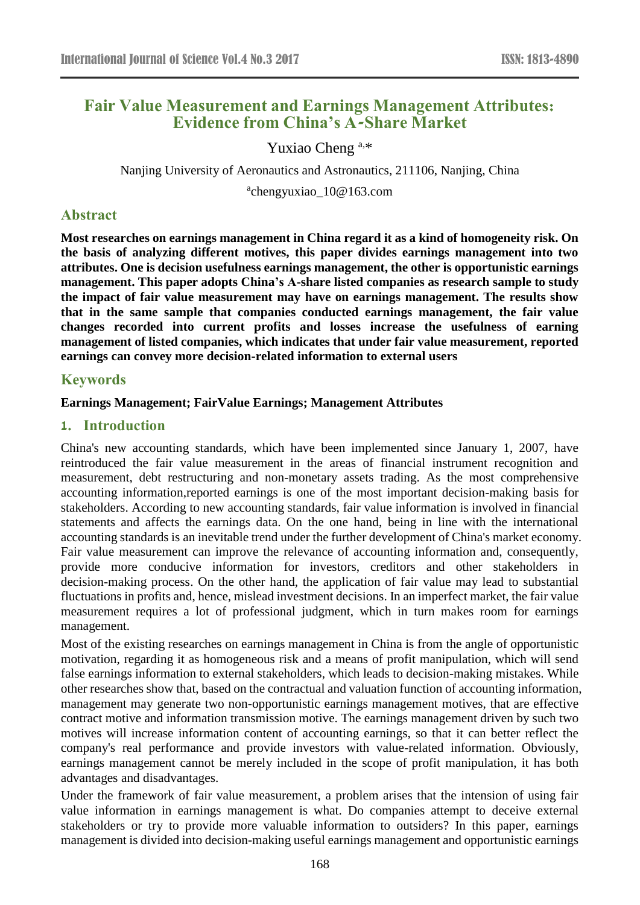# **Fair Value Measurement and Earnings Management Attributes: Evidence from China's A-Share Market**

Yuxiao Cheng a,\*

Nanjing University of Aeronautics and Astronautics, 211106, Nanjing, China

a chengyuxiao\_10@163.com

# **Abstract**

**Most researches on earnings management in China regard it as a kind of homogeneity risk. On the basis of analyzing different motives, this paper divides earnings management into two attributes. One is decision usefulness earnings management, the other is opportunistic earnings management. This paper adopts China's A-share listed companies as research sample to study the impact of fair value measurement may have on earnings management. The results show that in the same sample that companies conducted earnings management, the fair value changes recorded into current profits and losses increase the usefulness of earning management of listed companies, which indicates that under fair value measurement, reported earnings can convey more decision-related information to external users**

## **Keywords**

#### **Earnings Management; FairValue Earnings; Management Attributes**

### **1. Introduction**

China's new accounting standards, which have been implemented since January 1, 2007, have reintroduced the fair value measurement in the areas of financial instrument recognition and measurement, debt restructuring and non-monetary assets trading. As the most comprehensive accounting information,reported earnings is one of the most important decision-making basis for stakeholders. According to new accounting standards, fair value information is involved in financial statements and affects the earnings data. On the one hand, being in line with the international accounting standards is an inevitable trend under the further development of China's market economy. Fair value measurement can improve the relevance of accounting information and, consequently, provide more conducive information for investors, creditors and other stakeholders in decision-making process. On the other hand, the application of fair value may lead to substantial fluctuations in profits and, hence, mislead investment decisions. In an imperfect market, the fair value measurement requires a lot of professional judgment, which in turn makes room for earnings management.

Most of the existing researches on earnings management in China is from the angle of opportunistic motivation, regarding it as homogeneous risk and a means of profit manipulation, which will send false earnings information to external stakeholders, which leads to decision-making mistakes. While other researches show that, based on the contractual and valuation function of accounting information, management may generate two non-opportunistic earnings management motives, that are effective contract motive and information transmission motive. The earnings management driven by such two motives will increase information content of accounting earnings, so that it can better reflect the company's real performance and provide investors with value-related information. Obviously, earnings management cannot be merely included in the scope of profit manipulation, it has both advantages and disadvantages.

Under the framework of fair value measurement, a problem arises that the intension of using fair value information in earnings management is what. Do companies attempt to deceive external stakeholders or try to provide more valuable information to outsiders? In this paper, earnings management is divided into decision-making useful earnings management and opportunistic earnings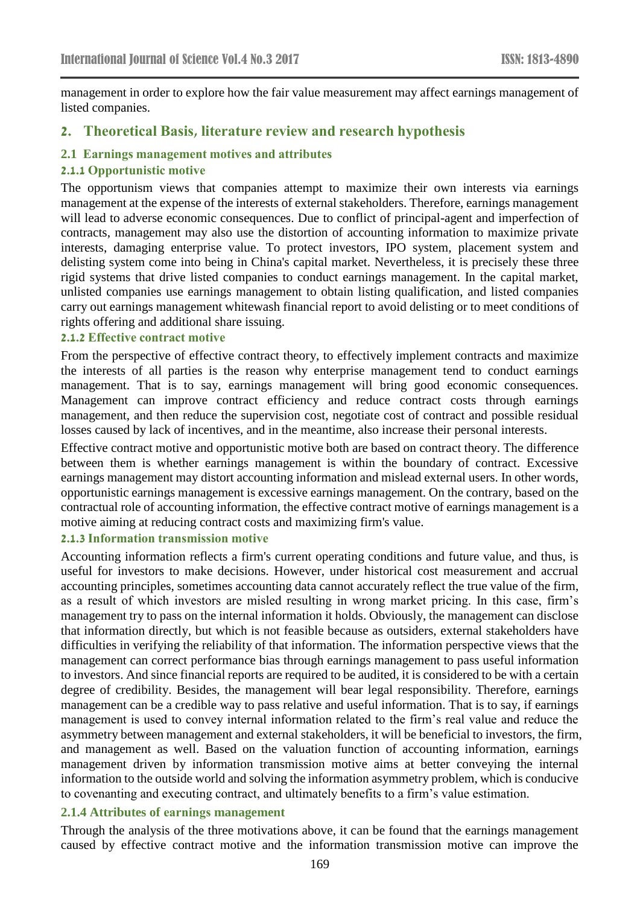management in order to explore how the fair value measurement may affect earnings management of listed companies.

# **2. Theoretical Basis, literature review and research hypothesis**

#### **2.1 Earnings management motives and attributes**

#### **2.1.1 Opportunistic motive**

The opportunism views that companies attempt to maximize their own interests via earnings management at the expense of the interests of external stakeholders. Therefore, earnings management will lead to adverse economic consequences. Due to conflict of principal-agent and imperfection of contracts, management may also use the distortion of accounting information to maximize private interests, damaging enterprise value. To protect investors, IPO system, placement system and delisting system come into being in China's capital market. Nevertheless, it is precisely these three rigid systems that drive listed companies to conduct earnings management. In the capital market, unlisted companies use earnings management to obtain listing qualification, and listed companies carry out earnings management whitewash financial report to avoid delisting or to meet conditions of rights offering and additional share issuing.

## **2.1.2 Effective contract motive**

From the perspective of effective contract theory, to effectively implement contracts and maximize the interests of all parties is the reason why enterprise management tend to conduct earnings management. That is to say, earnings management will bring good economic consequences. Management can improve contract efficiency and reduce contract costs through earnings management, and then reduce the supervision cost, negotiate cost of contract and possible residual losses caused by lack of incentives, and in the meantime, also increase their personal interests.

Effective contract motive and opportunistic motive both are based on contract theory. The difference between them is whether earnings management is within the boundary of contract. Excessive earnings management may distort accounting information and mislead external users. In other words, opportunistic earnings management is excessive earnings management. On the contrary, based on the contractual role of accounting information, the effective contract motive of earnings management is a motive aiming at reducing contract costs and maximizing firm's value.

### **2.1.3 Information transmission motive**

Accounting information reflects a firm's current operating conditions and future value, and thus, is useful for investors to make decisions. However, under historical cost measurement and accrual accounting principles, sometimes accounting data cannot accurately reflect the true value of the firm, as a result of which investors are misled resulting in wrong market pricing. In this case, firm's management try to pass on the internal information it holds. Obviously, the management can disclose that information directly, but which is not feasible because as outsiders, external stakeholders have difficulties in verifying the reliability of that information. The information perspective views that the management can correct performance bias through earnings management to pass useful information to investors. And since financial reports are required to be audited, it is considered to be with a certain degree of credibility. Besides, the management will bear legal responsibility. Therefore, earnings management can be a credible way to pass relative and useful information. That is to say, if earnings management is used to convey internal information related to the firm's real value and reduce the asymmetry between management and external stakeholders, it will be beneficial to investors, the firm, and management as well. Based on the valuation function of accounting information, earnings management driven by information transmission motive aims at better conveying the internal information to the outside world and solving the information asymmetry problem, which is conducive to covenanting and executing contract, and ultimately benefits to a firm's value estimation.

### **2.1.4 Attributes of earnings management**

Through the analysis of the three motivations above, it can be found that the earnings management caused by effective contract motive and the information transmission motive can improve the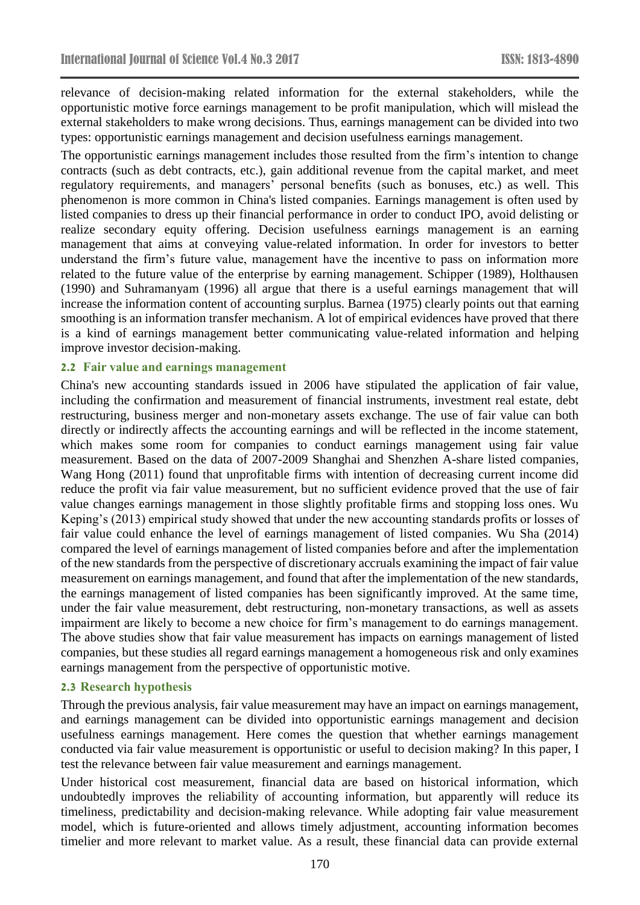relevance of decision-making related information for the external stakeholders, while the opportunistic motive force earnings management to be profit manipulation, which will mislead the external stakeholders to make wrong decisions. Thus, earnings management can be divided into two types: opportunistic earnings management and decision usefulness earnings management.

The opportunistic earnings management includes those resulted from the firm's intention to change contracts (such as debt contracts, etc.), gain additional revenue from the capital market, and meet regulatory requirements, and managers' personal benefits (such as bonuses, etc.) as well. This phenomenon is more common in China's listed companies. Earnings management is often used by listed companies to dress up their financial performance in order to conduct IPO, avoid delisting or realize secondary equity offering. Decision usefulness earnings management is an earning management that aims at conveying value-related information. In order for investors to better understand the firm's future value, management have the incentive to pass on information more related to the future value of the enterprise by earning management. Schipper (1989), Holthausen (1990) and Suhramanyam (1996) all argue that there is a useful earnings management that will increase the information content of accounting surplus. Barnea (1975) clearly points out that earning smoothing is an information transfer mechanism. A lot of empirical evidences have proved that there is a kind of earnings management better communicating value-related information and helping improve investor decision-making.

#### **2.2 Fair value and earnings management**

China's new accounting standards issued in 2006 have stipulated the application of fair value, including the confirmation and measurement of financial instruments, investment real estate, debt restructuring, business merger and non-monetary assets exchange. The use of fair value can both directly or indirectly affects the accounting earnings and will be reflected in the income statement, which makes some room for companies to conduct earnings management using fair value measurement. Based on the data of 2007-2009 Shanghai and Shenzhen A-share listed companies, Wang Hong (2011) found that unprofitable firms with intention of decreasing current income did reduce the profit via fair value measurement, but no sufficient evidence proved that the use of fair value changes earnings management in those slightly profitable firms and stopping loss ones. Wu Keping's (2013) empirical study showed that under the new accounting standards profits or losses of fair value could enhance the level of earnings management of listed companies. Wu Sha (2014) compared the level of earnings management of listed companies before and after the implementation of the new standards from the perspective of discretionary accruals examining the impact of fair value measurement on earnings management, and found that after the implementation of the new standards, the earnings management of listed companies has been significantly improved. At the same time, under the fair value measurement, debt restructuring, non-monetary transactions, as well as assets impairment are likely to become a new choice for firm's management to do earnings management. The above studies show that fair value measurement has impacts on earnings management of listed companies, but these studies all regard earnings management a homogeneous risk and only examines earnings management from the perspective of opportunistic motive.

#### **2.3 Research hypothesis**

Through the previous analysis, fair value measurement may have an impact on earnings management, and earnings management can be divided into opportunistic earnings management and decision usefulness earnings management. Here comes the question that whether earnings management conducted via fair value measurement is opportunistic or useful to decision making? In this paper, I test the relevance between fair value measurement and earnings management.

Under historical cost measurement, financial data are based on historical information, which undoubtedly improves the reliability of accounting information, but apparently will reduce its timeliness, predictability and decision-making relevance. While adopting fair value measurement model, which is future-oriented and allows timely adjustment, accounting information becomes timelier and more relevant to market value. As a result, these financial data can provide external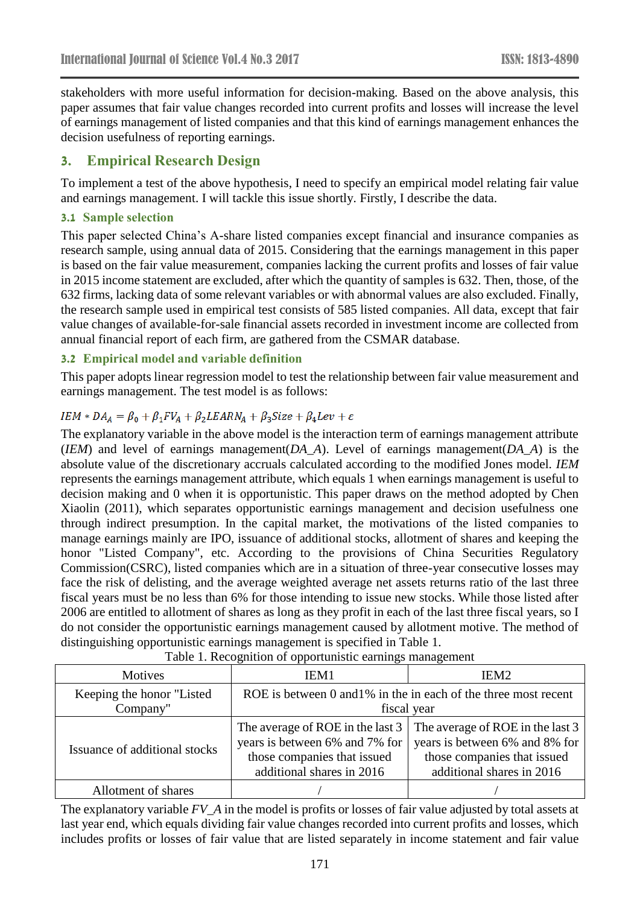stakeholders with more useful information for decision-making. Based on the above analysis, this paper assumes that fair value changes recorded into current profits and losses will increase the level of earnings management of listed companies and that this kind of earnings management enhances the decision usefulness of reporting earnings.

# **3. Empirical Research Design**

To implement a test of the above hypothesis, I need to specify an empirical model relating fair value and earnings management. I will tackle this issue shortly. Firstly, I describe the data.

### **3.1 Sample selection**

This paper selected China's A-share listed companies except financial and insurance companies as research sample, using annual data of 2015. Considering that the earnings management in this paper is based on the fair value measurement, companies lacking the current profits and losses of fair value in 2015 income statement are excluded, after which the quantity of samples is 632. Then, those, of the 632 firms, lacking data of some relevant variables or with abnormal values are also excluded. Finally, the research sample used in empirical test consists of 585 listed companies. All data, except that fair value changes of available-for-sale financial assets recorded in investment income are collected from annual financial report of each firm, are gathered from the CSMAR database.

### **3.2 Empirical model and variable definition**

This paper adopts linear regression model to test the relationship between fair value measurement and earnings management. The test model is as follows:

## $IEM * DA<sub>A</sub> = \beta_0 + \beta_1 FV_A + \beta_2 LEARN_A + \beta_3 Size + \beta_4 Lev + \varepsilon$

The explanatory variable in the above model is the interaction term of earnings management attribute (*IEM*) and level of earnings management(*DA\_A*). Level of earnings management(*DA\_A*) is the absolute value of the discretionary accruals calculated according to the modified Jones model. *IEM* represents the earnings management attribute, which equals 1 when earnings management is useful to decision making and 0 when it is opportunistic. This paper draws on the method adopted by Chen Xiaolin (2011), which separates opportunistic earnings management and decision usefulness one through indirect presumption. In the capital market, the motivations of the listed companies to manage earnings mainly are IPO, issuance of additional stocks, allotment of shares and keeping the honor "Listed Company", etc. According to the provisions of China Securities Regulatory Commission(CSRC), listed companies which are in a situation of three-year consecutive losses may face the risk of delisting, and the average weighted average net assets returns ratio of the last three fiscal years must be no less than 6% for those intending to issue new stocks. While those listed after 2006 are entitled to allotment of shares as long as they profit in each of the last three fiscal years, so I do not consider the opportunistic earnings management caused by allotment motive. The method of distinguishing opportunistic earnings management is specified in Table 1.

| Table 1. Recognition of opportunistic earnings management |                                                                                                                                |                                                                                                                                |  |  |  |
|-----------------------------------------------------------|--------------------------------------------------------------------------------------------------------------------------------|--------------------------------------------------------------------------------------------------------------------------------|--|--|--|
| Motives                                                   | IEM <sub>1</sub>                                                                                                               | IEM <sub>2</sub>                                                                                                               |  |  |  |
| Keeping the honor "Listed"<br>Company"                    | ROE is between 0 and 1% in the in each of the three most recent<br>fiscal year                                                 |                                                                                                                                |  |  |  |
| Issuance of additional stocks                             | The average of ROE in the last 3<br>years is between 6% and 7% for<br>those companies that issued<br>additional shares in 2016 | The average of ROE in the last 3<br>years is between 6% and 8% for<br>those companies that issued<br>additional shares in 2016 |  |  |  |
| Allotment of shares                                       |                                                                                                                                |                                                                                                                                |  |  |  |

Table 1. Recognition of opportunistic earnings management

The explanatory variable *FV\_A* in the model is profits or losses of fair value adjusted by total assets at last year end, which equals dividing fair value changes recorded into current profits and losses, which includes profits or losses of fair value that are listed separately in income statement and fair value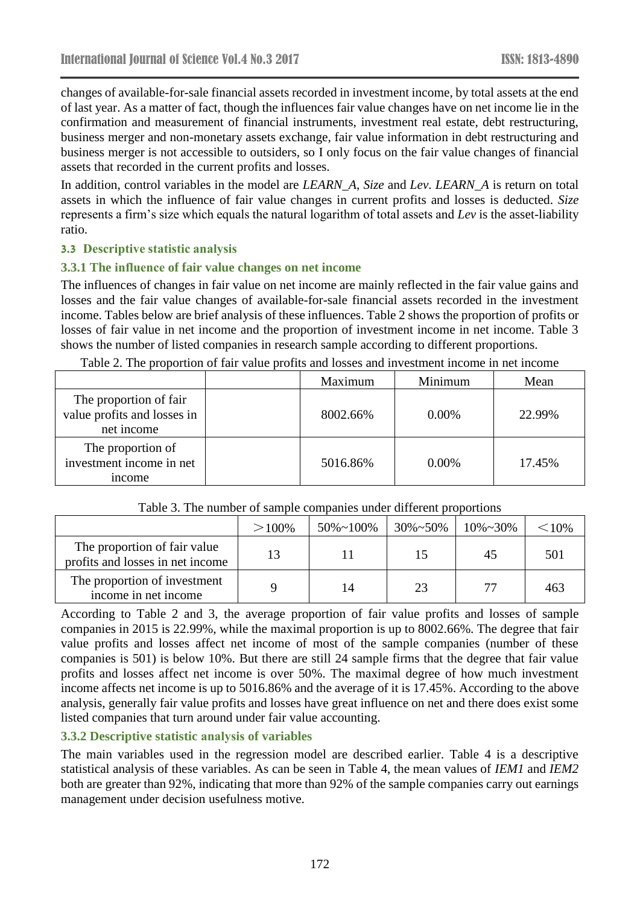changes of available-for-sale financial assets recorded in investment income, by total assets at the end of last year. As a matter of fact, though the influences fair value changes have on net income lie in the confirmation and measurement of financial instruments, investment real estate, debt restructuring, business merger and non-monetary assets exchange, fair value information in debt restructuring and business merger is not accessible to outsiders, so I only focus on the fair value changes of financial assets that recorded in the current profits and losses.

In addition, control variables in the model are *LEARN\_A*, *Size* and *Lev*. *LEARN\_A* is return on total assets in which the influence of fair value changes in current profits and losses is deducted. *Size* represents a firm's size which equals the natural logarithm of total assets and *Lev* is the asset-liability ratio.

### **3.3 Descriptive statistic analysis**

### **3.3.1 The influence of fair value changes on net income**

The influences of changes in fair value on net income are mainly reflected in the fair value gains and losses and the fair value changes of available-for-sale financial assets recorded in the investment income. Tables below are brief analysis of these influences. Table 2 shows the proportion of profits or losses of fair value in net income and the proportion of investment income in net income. Table 3 shows the number of listed companies in research sample according to different proportions.<br>The according of fair value profits and locate and investment income in not income.

| Table 2. The proportion of fair value profits and losses and investment income in net income |  |  |
|----------------------------------------------------------------------------------------------|--|--|
|                                                                                              |  |  |

|                                                                     | Maximum  | Minimum  | Mean   |
|---------------------------------------------------------------------|----------|----------|--------|
| The proportion of fair<br>value profits and losses in<br>net income | 8002.66% | $0.00\%$ | 22.99% |
| The proportion of<br>investment income in net<br><i>n</i> come      | 5016.86% | $0.00\%$ | 17.45% |

#### Table 3. The number of sample companies under different proportions

|                                                                  | $>100\%$ | $50\% \sim 100\%$ | $30\% \sim 50\%$ | $10\% \sim 30\%$ | $<$ 10\% |
|------------------------------------------------------------------|----------|-------------------|------------------|------------------|----------|
| The proportion of fair value<br>profits and losses in net income | 13       |                   | 15               | 45               | 501      |
| The proportion of investment<br>income in net income             |          | 14                | 23               | 77               | 463      |

According to Table 2 and 3, the average proportion of fair value profits and losses of sample companies in 2015 is 22.99%, while the maximal proportion is up to 8002.66%. The degree that fair value profits and losses affect net income of most of the sample companies (number of these companies is 501) is below 10%. But there are still 24 sample firms that the degree that fair value profits and losses affect net income is over 50%. The maximal degree of how much investment income affects net income is up to 5016.86% and the average of it is 17.45%. According to the above analysis, generally fair value profits and losses have great influence on net and there does exist some listed companies that turn around under fair value accounting.

## **3.3.2 Descriptive statistic analysis of variables**

The main variables used in the regression model are described earlier. Table 4 is a descriptive statistical analysis of these variables. As can be seen in Table 4, the mean values of *IEM1* and *IEM2* both are greater than 92%, indicating that more than 92% of the sample companies carry out earnings management under decision usefulness motive.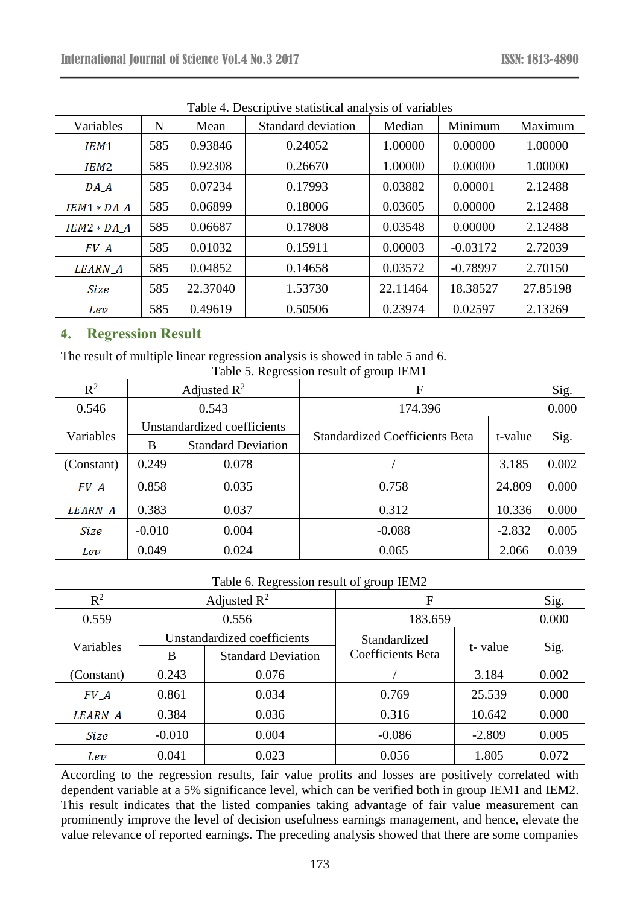| Variables        | N   | Mean     | Standard deviation | Median   | Minimum    | Maximum  |
|------------------|-----|----------|--------------------|----------|------------|----------|
| IEM <sub>1</sub> | 585 | 0.93846  | 0.24052            | 1.00000  | 0.00000    | 1.00000  |
| IEM2             | 585 | 0.92308  | 0.26670            | 1.00000  | 0.00000    | 1.00000  |
| $DA_A$           | 585 | 0.07234  | 0.17993            | 0.03882  | 0.00001    | 2.12488  |
| $IEM1 * DA A$    | 585 | 0.06899  | 0.18006            | 0.03605  | 0.00000    | 2.12488  |
| $IEM2 * DA_A$    | 585 | 0.06687  | 0.17808            | 0.03548  | 0.00000    | 2.12488  |
| FVA              | 585 | 0.01032  | 0.15911            | 0.00003  | $-0.03172$ | 2.72039  |
| LEARN_A          | 585 | 0.04852  | 0.14658            | 0.03572  | $-0.78997$ | 2.70150  |
| Size             | 585 | 22.37040 | 1.53730            | 22.11464 | 18.38527   | 27.85198 |
| Lev              | 585 | 0.49619  | 0.50506            | 0.23974  | 0.02597    | 2.13269  |

Table 4. Descriptive statistical analysis of variables

# **4. Regression Result**

The result of multiple linear regression analysis is showed in table 5 and 6. Table 5. Regression result of group IEM1

| $R^2$      | Adjusted $R^2$ |                             | F                                     | Sig.     |       |
|------------|----------------|-----------------------------|---------------------------------------|----------|-------|
| 0.546      | 0.543          |                             | 174.396                               | 0.000    |       |
|            |                | Unstandardized coefficients |                                       |          |       |
| Variables  | B              | <b>Standard Deviation</b>   | <b>Standardized Coefficients Beta</b> | t-value  | Sig.  |
| (Constant) | 0.249          | 0.078                       |                                       | 3.185    | 0.002 |
| FVA        | 0.858          | 0.035                       | 0.758                                 | 24.809   | 0.000 |
| LEARN_A    | 0.383          | 0.037                       | 0.312                                 | 10.336   | 0.000 |
| Size       | $-0.010$       | 0.004                       | $-0.088$                              | $-2.832$ | 0.005 |
| Lev        | 0.049          | 0.024                       | 0.065                                 | 2.066    | 0.039 |

Table 6. Regression result of group IEM2

| $R^2$      | Adjusted $\mathbb{R}^2$     |                           | F                        |          | Sig.  |
|------------|-----------------------------|---------------------------|--------------------------|----------|-------|
| 0.559      | 0.556                       |                           | 183.659                  |          | 0.000 |
|            | Unstandardized coefficients |                           | Standardized             |          |       |
| Variables  | B                           | <b>Standard Deviation</b> | <b>Coefficients Beta</b> | t-value  | Sig.  |
| (Constant) | 0.243                       | 0.076                     |                          | 3.184    | 0.002 |
| $FV_A$     | 0.861                       | 0.034                     | 0.769                    | 25.539   | 0.000 |
| LEARN_A    | 0.384                       | 0.036                     | 0.316                    | 10.642   | 0.000 |
| Size       | $-0.010$                    | 0.004                     | $-0.086$                 | $-2.809$ | 0.005 |
| Lev        | 0.041                       | 0.023                     | 0.056                    | 1.805    | 0.072 |

According to the regression results, fair value profits and losses are positively correlated with dependent variable at a 5% significance level, which can be verified both in group IEM1 and IEM2. This result indicates that the listed companies taking advantage of fair value measurement can prominently improve the level of decision usefulness earnings management, and hence, elevate the value relevance of reported earnings. The preceding analysis showed that there are some companies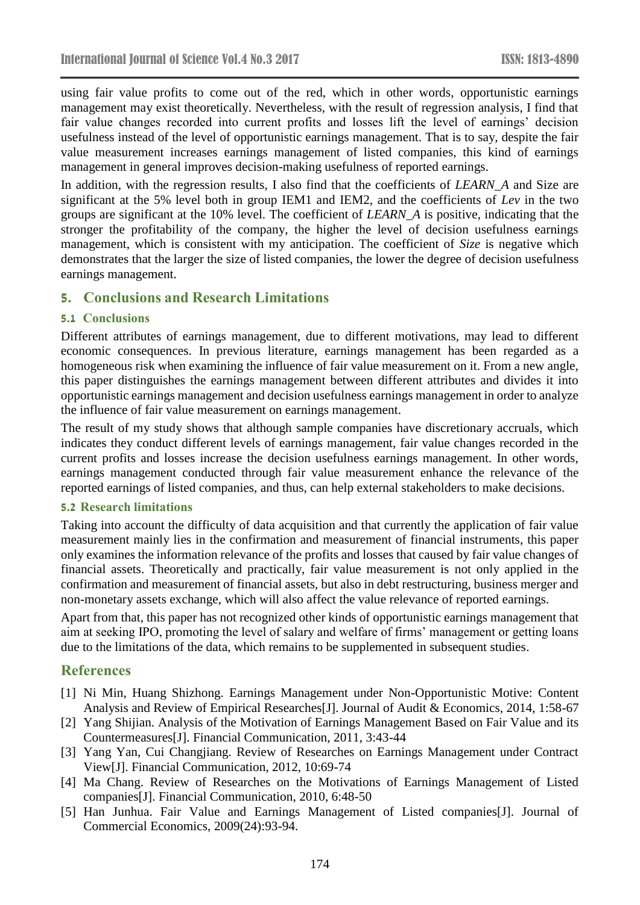using fair value profits to come out of the red, which in other words, opportunistic earnings management may exist theoretically. Nevertheless, with the result of regression analysis, I find that fair value changes recorded into current profits and losses lift the level of earnings' decision usefulness instead of the level of opportunistic earnings management. That is to say, despite the fair value measurement increases earnings management of listed companies, this kind of earnings management in general improves decision-making usefulness of reported earnings.

In addition, with the regression results, I also find that the coefficients of *LEARN* A and Size are significant at the 5% level both in group IEM1 and IEM2, and the coefficients of *Lev* in the two groups are significant at the 10% level. The coefficient of *LEARN\_A* is positive, indicating that the stronger the profitability of the company, the higher the level of decision usefulness earnings management, which is consistent with my anticipation. The coefficient of *Size* is negative which demonstrates that the larger the size of listed companies, the lower the degree of decision usefulness earnings management.

# **5. Conclusions and Research Limitations**

## **5.1 Conclusions**

Different attributes of earnings management, due to different motivations, may lead to different economic consequences. In previous literature, earnings management has been regarded as a homogeneous risk when examining the influence of fair value measurement on it. From a new angle, this paper distinguishes the earnings management between different attributes and divides it into opportunistic earnings management and decision usefulness earnings management in order to analyze the influence of fair value measurement on earnings management.

The result of my study shows that although sample companies have discretionary accruals, which indicates they conduct different levels of earnings management, fair value changes recorded in the current profits and losses increase the decision usefulness earnings management. In other words, earnings management conducted through fair value measurement enhance the relevance of the reported earnings of listed companies, and thus, can help external stakeholders to make decisions.

### **5.2 Research limitations**

Taking into account the difficulty of data acquisition and that currently the application of fair value measurement mainly lies in the confirmation and measurement of financial instruments, this paper only examines the information relevance of the profits and losses that caused by fair value changes of financial assets. Theoretically and practically, fair value measurement is not only applied in the confirmation and measurement of financial assets, but also in debt restructuring, business merger and non-monetary assets exchange, which will also affect the value relevance of reported earnings.

Apart from that, this paper has not recognized other kinds of opportunistic earnings management that aim at seeking IPO, promoting the level of salary and welfare of firms' management or getting loans due to the limitations of the data, which remains to be supplemented in subsequent studies.

# **References**

- [1] Ni Min, Huang Shizhong. Earnings Management under Non-Opportunistic Motive: Content Analysis and Review of Empirical Researches[J]. Journal of Audit & Economics, 2014, 1:58-67
- [2] Yang Shijian. Analysis of the Motivation of Earnings Management Based on Fair Value and its Countermeasures[J]. Financial Communication, 2011, 3:43-44
- [3] Yang Yan, Cui Changjiang. Review of Researches on Earnings Management under Contract View[J]. Financial Communication, 2012, 10:69-74
- [4] Ma Chang. Review of Researches on the Motivations of Earnings Management of Listed companies[J]. Financial Communication, 2010, 6:48-50
- [5] Han Junhua. Fair Value and Earnings Management of Listed companies[J]. Journal of Commercial Economics, 2009(24):93-94.